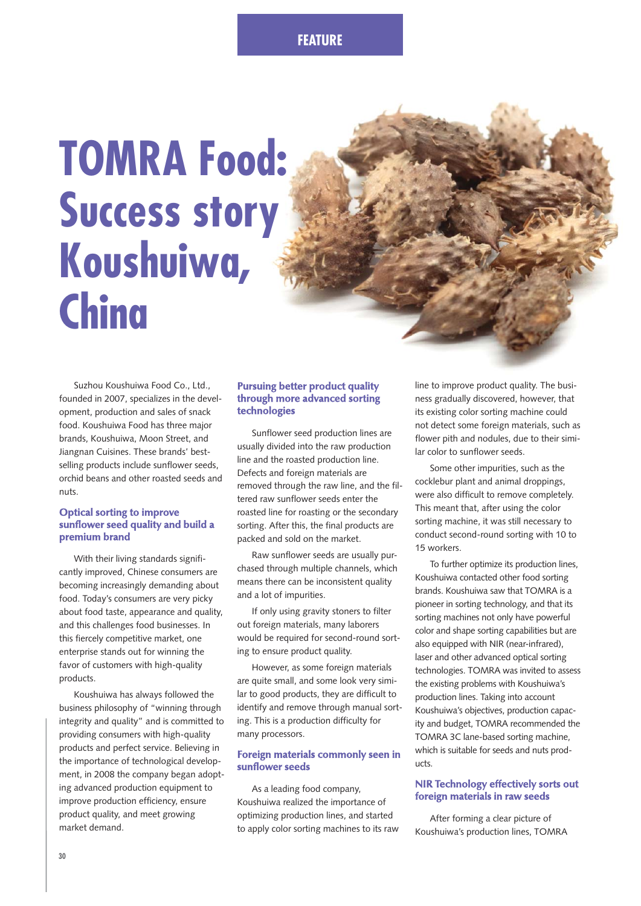## **FEATURE**

# **TOMRA Food: Success story Koushuiwa, China**

Suzhou Koushuiwa Food Co., Ltd., founded in 2007, specializes in the development, production and sales of snack food. Koushuiwa Food has three major brands, Koushuiwa, Moon Street, and Jiangnan Cuisines. These brands' bestselling products include sunflower seeds, orchid beans and other roasted seeds and nuts.

#### **Optical sorting to improve sunflower seed quality and build a premium brand**

With their living standards significantly improved, Chinese consumers are becoming increasingly demanding about food. Today's consumers are very picky about food taste, appearance and quality, and this challenges food businesses. In this fiercely competitive market, one enterprise stands out for winning the favor of customers with high-quality products.

Koushuiwa has always followed the business philosophy of "winning through integrity and quality" and is committed to providing consumers with high-quality products and perfect service. Believing in the importance of technological development, in 2008 the company began adopting advanced production equipment to improve production efficiency, ensure product quality, and meet growing market demand.

#### **Pursuing better product quality through more advanced sorting technologies**

Sunflower seed production lines are usually divided into the raw production line and the roasted production line. Defects and foreign materials are removed through the raw line, and the filtered raw sunflower seeds enter the roasted line for roasting or the secondary sorting. After this, the final products are packed and sold on the market.

Raw sunflower seeds are usually purchased through multiple channels, which means there can be inconsistent quality and a lot of impurities.

If only using gravity stoners to filter out foreign materials, many laborers would be required for second-round sorting to ensure product quality.

However, as some foreign materials are quite small, and some look very similar to good products, they are difficult to identify and remove through manual sorting. This is a production difficulty for many processors.

#### **Foreign materials commonly seen in sunflower seeds**

As a leading food company, Koushuiwa realized the importance of optimizing production lines, and started to apply color sorting machines to its raw line to improve product quality. The business gradually discovered, however, that its existing color sorting machine could not detect some foreign materials, such as flower pith and nodules, due to their similar color to sunflower seeds.

Some other impurities, such as the cocklebur plant and animal droppings, were also difficult to remove completely. This meant that, after using the color sorting machine, it was still necessary to conduct second-round sorting with 10 to 15 workers.

To further optimize its production lines, Koushuiwa contacted other food sorting brands. Koushuiwa saw that TOMRA is a pioneer in sorting technology, and that its sorting machines not only have powerful color and shape sorting capabilities but are also equipped with NIR (near-infrared), laser and other advanced optical sorting technologies. TOMRA was invited to assess the existing problems with Koushuiwa's production lines. Taking into account Koushuiwa's objectives, production capacity and budget, TOMRA recommended the TOMRA 3C lane-based sorting machine, which is suitable for seeds and nuts products.

#### **NIR Technology effectively sorts out foreign materials in raw seeds**

After forming a clear picture of Koushuiwa's production lines, TOMRA